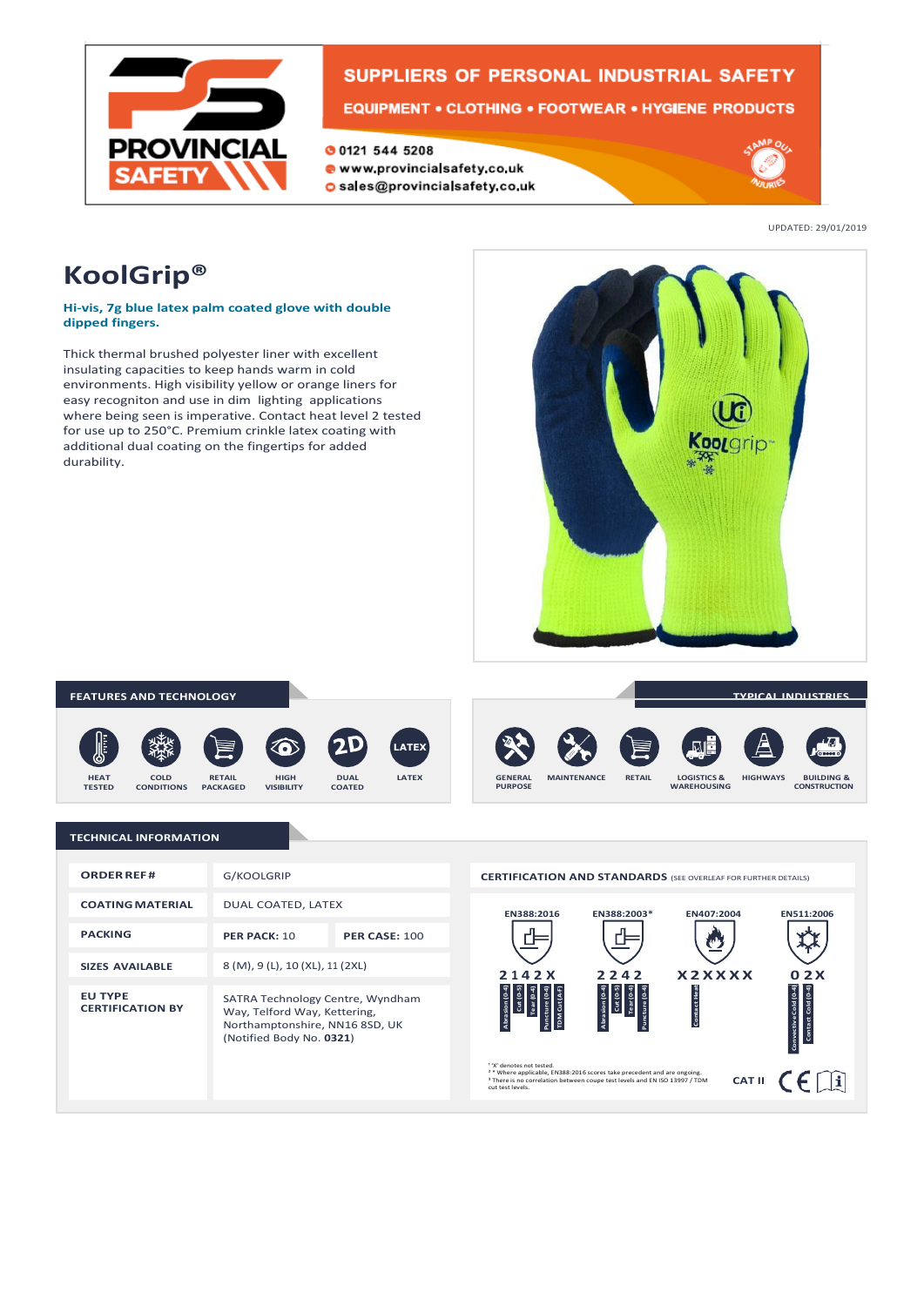

# SUPPLIERS OF PERSONAL INDUSTRIAL SAFETY

**EQUIPMENT • CLOTHING • FOOTWEAR • HYGIENE PRODUCTS** 

- **00121 544 5208**
- www.provincialsafety.co.uk
- o sales@provincialsafety.co.uk



UPDATED: 29/01/2019

# **KoolGrip®**

## **Hi-vis, 7g blue latex palm coated glove with double dipped fingers.**

Thick thermal brushed polyester liner with excellent insulating capacities to keep hands warm in cold environments. High visibility yellow or orange liners for easy recogniton and use in dim lighting applications where being seen is imperative. Contact heat level 2 tested for use up to 250°C. Premium crinkle latex coating with additional dual coating on the fingertips for added durability.



### **FEATURES AND TECHNOLOGY**













**TYPICAL INDUSTRIES**

# **TECHNICAL INFORMATION**

| ORDER REE#                                | G/KOOLGRIP                                                                                                                     |                      |
|-------------------------------------------|--------------------------------------------------------------------------------------------------------------------------------|----------------------|
| <b>COATING MATERIAL</b>                   | DUAL COATED, LATEX                                                                                                             |                      |
| <b>PACKING</b>                            | PER PACK: 10                                                                                                                   | <b>PER CASE: 100</b> |
| <b>SIZES AVAILABLE</b>                    | 8 (M), 9 (L), 10 (XL), 11 (2XL)                                                                                                |                      |
| <b>EU TYPE</b><br><b>CERTIFICATION BY</b> | SATRA Technology Centre, Wyndham<br>Way, Telford Way, Kettering,<br>Northamptonshire, NN16 8SD, UK<br>(Notified Body No. 0321) |                      |